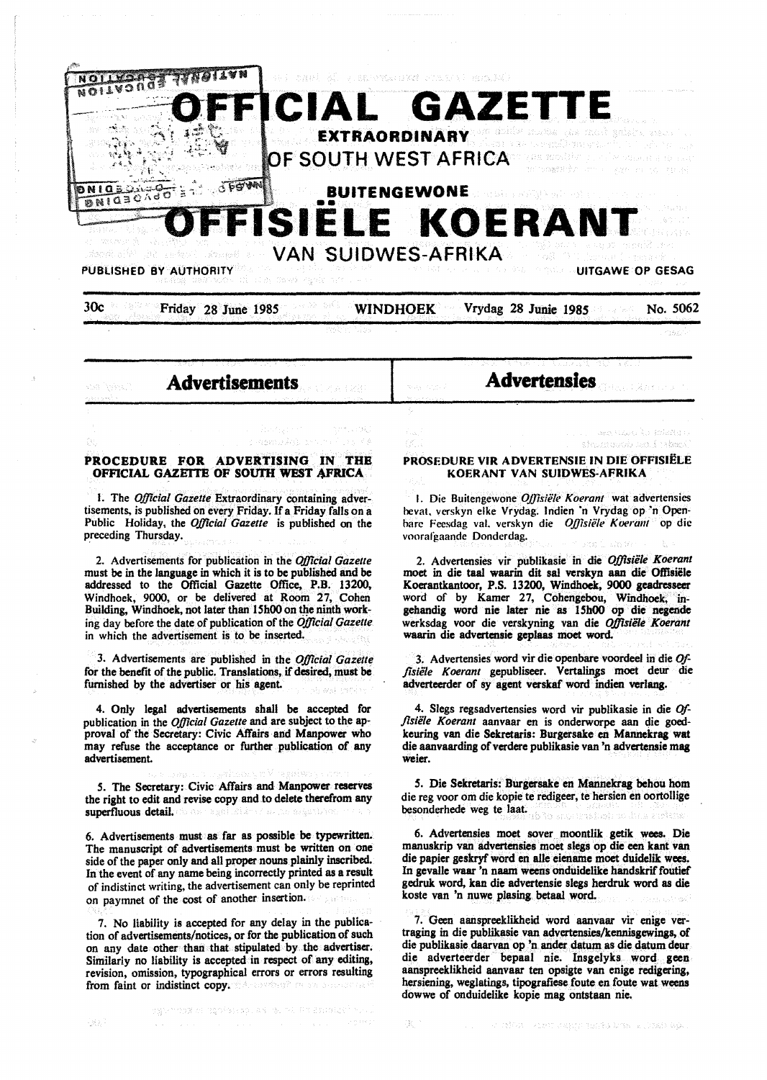



**Advertisements** 

เจซะเอลิกโรกา

**Advertensles** 

### **PROCEDURE FOR ADVERTISING IN THE OFFICIAL GAZETTE OF SOUTH WEST AFRICA**

**CH** 

정류

I. The *OjJlcial Gazette* Extraordinary containing advertisements, is published on every Friday. If a Friday falls on a Public Holiday, the *Official Gazette* is published on the preceding Thursday.

2. Advertisements for publication in the *Official Gazelle*  must be in the language in which it is to be published and be addressed to the Official Gazette Office, P.B. 13200, Windhoek, 9000, or be delivered at Room 27, Cohen Building, Windhoek, not later than 15h00 on the ninth working day before the date of publication of the *Official Gazette*  in which the advertisement is to be inserted.

3. Advertisements are published in the *Official Gazette*  for the benefit of the public. Translations, if desired, must be furnished by the advertiser or his agent.

4. Only legal advertisements shall be accepted for publication in the *Official Gazette* and are subject to the approval of the Secretary: Civic Affairs and Manpower who may refuse the acceptance or further publication of any advertisement.

*S.* The Secretary: Civic Affairs and Manpower reserves the right to edit and revise copy and to delete therefrom any superfluous detail.

6. Advertisements must as far as possible be typewritten. The manuscript of advertisements must be written on one side of the paper only and all proper nouns plainly inscribed. In the event of any name being incorrectly printed as a result of indistinct writing, the advertisement can only be reprinted on paymnet of the cost of another insertion.

7. No liability is accepted for any delay in the publication of advertisements/notices, or for the publication of such on any date other than that stipulated by .the advertiser. Similarly no liability is accepted in respect of any editing, revision, omission, typographical errors or errors resulting from faint or indistinct copy. Admostration and annual tra

#### PROSEDURE VIR ADVERTENSIE IN DIE OFFISIËLE **KOERANT VAN SUIDWES-AFRIKA**

should durch and finabels

I. Die Buitengewone *Oj]isiele Koerant* wat advertensies hevat, verskyn elke Vrydag. lndien ·n Vrydag op ·n Openhare Feesdag val. verskyn die *Ojjisiele* **K** *oeram* op die voorafgaande Donderdag.

2. Advertensies vir publikasie in die *Offisiile Koerant*  moet in die taal waarin dit sal verskyn aan die Offisiele Koerantkantoor, P.S. 13200, Windhoek, **9000 geadresseer**  word of by Kamer 27, Cohengebou, Windhoek, ingehandig word nie later nie as 15h00 op die negende werksdag voor die verskyning van die *Offisiele Koerant*  waarin die advertensie geplaas moet word.

3. Advertensies word vir die openbare voordeel in die Offisiële Koerant gepubliseer. Vertalings moet deur die adverteerder of sy agent verskaf word indien verlang.

4. Slegs regsadvertensies word vir publikasie in die *Offisiile Koerant* aanvaar en is onderworpe aan die goedkeuring van die Sekretaris: Burgersake en Mannekrag wat die aanvaarding of verdere publikasie van 'n advertensie mag weier.

5. Die Sekretaris: Burgersake en Mannekrag behou hom die reg voor om die kopie te redigeer, te hersien en oortollige besonderhede weg te laat. ta kowesikabed in s

6. Advertensies moet sover moontlik getik wees. Die manuskrip van advertensies moet slegs op **die een** kant van die papier geskryf word en alle eiename moet duidelik wees. In gevalle waar 'n naam weens onduidelike handskrif foutief gedruk word, kan die advertensie slegs herdruk word as die koste van 'n nuwe plasing betaal word.

7. Geen aanspreeklikheid word aanvaar vir enige vertraging in die publikasie van advertensies/kennisgewings, of die publikasie daarvan op 'n ander datum as die datum deur die adverteerder bepaal nie. Insgelyks word geen aanspreeklikheid aanvaar ten opsigte van enige redigering, hersiening, weglatings, tipografiese foute en foute wat weens dowwe of onduidelike kopie mag ontstaan nie.

736 F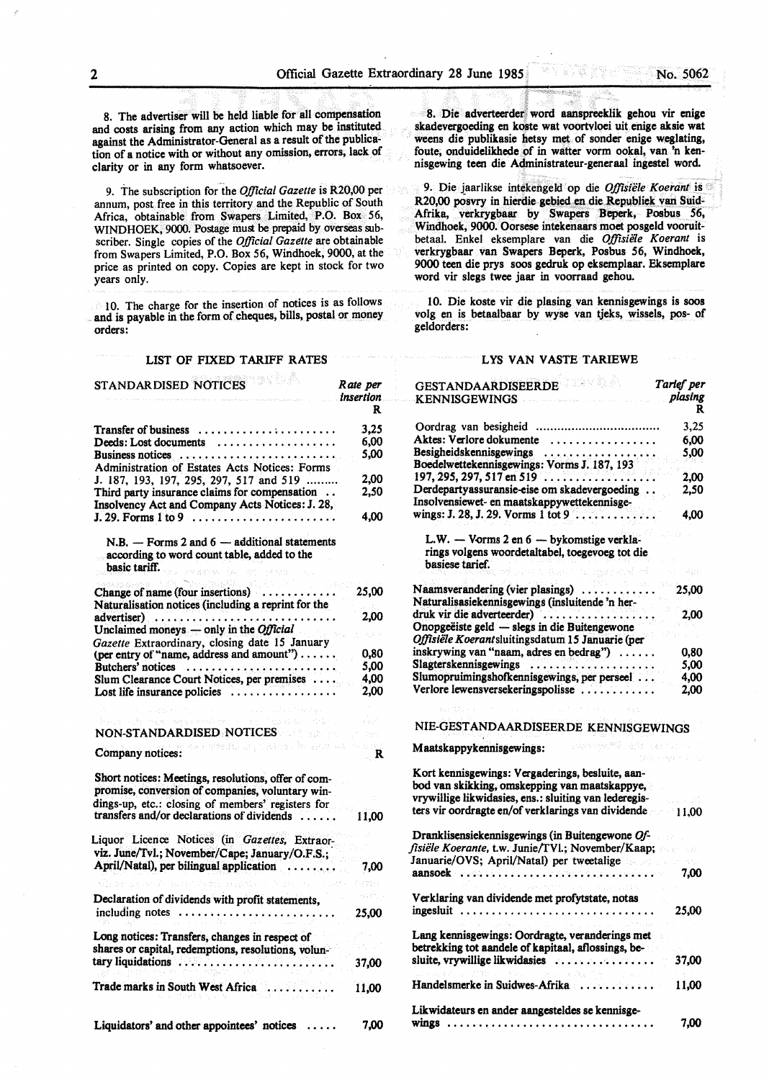8. The advertiser will be held liable for all compensation and costs **arising** from any action which may be instituted against the Administrator-General as a result of the publication of a notice with or without any omission, errors, lack of clarity or in any form whatsoever.

9. The subscription for the *Official Gazette* is R20,00 per annum, post free in this territory and the Republic of South Africa, obtainable from Swapers Limited, P.O. Box 56, WINDHOEK, 9000. Postage must be prepaid by overseas subscriber. Single copies of the *Official Gazette* are obtainable from Swapers Limited, P.O. Box 56, Windhoek, 9000, at the price as printed on copy. Copies are kept in stock for two years only.

10. The charge for the insertion of notices is as follows and is payable in the form of cheques, bills, postal or money orders:

## LIST OF FIXED TARIFF **RATES**

| STANDARDISED NOTICES                                                                                                                                                                                       | Rate per<br><i>insertion</i><br>R  |
|------------------------------------------------------------------------------------------------------------------------------------------------------------------------------------------------------------|------------------------------------|
| <b>Transfer of business</b>                                                                                                                                                                                | 3,25                               |
| Deeds: Lost documents                                                                                                                                                                                      | 6,00                               |
|                                                                                                                                                                                                            | 5,00                               |
| Administration of Estates Acts Notices: Forms                                                                                                                                                              |                                    |
| J. 187, 193, 197, 295, 297, 517 and 519                                                                                                                                                                    | 2,00                               |
| Third party insurance claims for compensation                                                                                                                                                              | 2.50                               |
| Insolvency Act and Company Acts Notices: J. 28,                                                                                                                                                            |                                    |
|                                                                                                                                                                                                            | 4.00                               |
| $N.B.$ - Forms 2 and 6 - additional statements<br>according to word count table, added to the<br>basic tariff. The series of the con-<br>To planets                                                        |                                    |
|                                                                                                                                                                                                            |                                    |
| Change of name (four insertions) $\dots$                                                                                                                                                                   | 25,00                              |
| Naturalisation notices (including a reprint for the                                                                                                                                                        |                                    |
| $advertiser) \dots \dots \dots \dots \dots \dots \dots \dots \dots$                                                                                                                                        | 2,00                               |
| Unclaimed moneys — only in the <i>Official</i>                                                                                                                                                             |                                    |
| Gazette Extraordinary, closing date 15 January                                                                                                                                                             |                                    |
| (per entry of "name, address and amount")                                                                                                                                                                  | 0.80                               |
| Butchers' notices $\dots \dots \dots \dots \dots \dots \dots \dots$                                                                                                                                        | 5.00                               |
| Slum Clearance Court Notices, per premises                                                                                                                                                                 | 4,00                               |
| Lost life insurance policies $\dots \dots$                                                                                                                                                                 | 2,00                               |
| Report Follows (1989) 2004                                                                                                                                                                                 |                                    |
| megay participates<br>Residence and the property of the con-                                                                                                                                               |                                    |
| NON-STANDARDISED NOTICES                                                                                                                                                                                   | <b>State</b>                       |
| an medicing catherine and ma-<br>Company notices:                                                                                                                                                          | de pide<br>$\overline{\mathbf{R}}$ |
| Short notices: Meetings, resolutions, offer of com-<br>promise, conversion of companies, voluntary win-<br>dings-up, etc.: closing of members' registers for<br>transfers and/or declarations of dividends | 11,00                              |
| Liquor Licence Notices (in Gazettes, Extraor-                                                                                                                                                              |                                    |
| viz. June/Tvl.; November/Cape; January/O.F.S.;                                                                                                                                                             |                                    |
| April/Natal), per bilingual application                                                                                                                                                                    | 7,00                               |
|                                                                                                                                                                                                            |                                    |
|                                                                                                                                                                                                            | ader.                              |
| Declaration of dividends with profit statements,                                                                                                                                                           |                                    |
| including notes                                                                                                                                                                                            | 25,00                              |
|                                                                                                                                                                                                            |                                    |
| Long notices: Transfers, changes in respect of                                                                                                                                                             |                                    |
| shares or capital, redemptions, resolutions, volun-                                                                                                                                                        |                                    |
|                                                                                                                                                                                                            | 37,00                              |
| Trade marks in South West Africa                                                                                                                                                                           | 11,00                              |
| Liquidators' and other appointees' notices                                                                                                                                                                 | 7,00                               |

8. Die adverteerder word aanspreeklik gehou vir enige skadevergoeding en koste wat voortvloei uit enige aksie wat weens die publikasie hetsy met of sonder enige weglating, foute, onduidelikhede of in watter vorm ookal, van 'n kennisgewing teen die Administrateur-generaal ingestel word.

9. Die jaarlikse intekengeld op die *Offisiële Koerant* is R20,00 posvry in hierdie gebied en die Republiek van Suid-Afrika, verkrygbaar by Swapers Beperk, Posbus *56,*  Windhoek, 9000. Oorsese intekenaars moet posgeld vooruitbetaal. Enke! eksemplare van die *Offisie1e Koerant* is verkrygbaar van Swapers Beperk, Posbus *56,* Windhoek, 9000 teen die prys soos gedruk op eksemplaar. Eksemplare word vir slegs twee jaar in voorraad gehou.

10. Die koste vir die plasing van kennisgewings is soos volg en is betaalbaar by wyse van tjeks, wissels, pos- of geldorders:

#### LYS VAN VASTE TARIBWE

| <b>GESTANDAARDISEERDENGEREERDEN</b>                                                              | Tarief per |
|--------------------------------------------------------------------------------------------------|------------|
| <b>KENNISGEWINGS</b>                                                                             | plasing    |
|                                                                                                  | R          |
|                                                                                                  | 3,25       |
| Aktes: Verlore dokumente<br>.                                                                    | 6,00       |
| Besigheidskennisgewings<br>. The sequence is a model of the sequence of $\mathcal{L}_\mathbf{A}$ | 5.00       |
| Boedelwettekennisgewings: Vorms J. 187, 193                                                      |            |
| $197, 295, 297, 517$ en 519                                                                      | 2.00       |
| Derdepartyassuransie-eise om skadevergoeding                                                     | 2,50       |
| Insolvensiewet- en maatskappywettekennisge-                                                      |            |
| wings: J. 28, J. 29. Vorms $1$ tot $9$                                                           | 4.00       |
| L.W. - Vorms 2 en 6 - bykomstige verkla-                                                         |            |
| rings volgens woordetaltabel, toegevoeg tot die                                                  |            |
| basiese tarief.                                                                                  |            |
|                                                                                                  | 修訂計        |
| Ω,<br>Naamsverandering (vier plasings)                                                           | 25,00      |
| Naturalisasiekennisgewings (insluitende 'n her-                                                  |            |
| druk vir die adverteerder)                                                                       | 2.00       |
| Onopgeëiste geld - slegs in die Buitengewone                                                     |            |
| Offisiële Koerantsluitingsdatum 15 Januarie (per                                                 |            |
| inskrywing van "naam, adres en bedrag")                                                          | 0.80       |
| Slagterskennisgewings                                                                            | 5,00       |
| Slumopruimingshofkennisgewings, per perseel                                                      | 4,00       |
| Verlore lewensversekeringspolisse                                                                | 2.00       |
|                                                                                                  |            |
|                                                                                                  |            |
| NIE-GESTANDAARDISEERDE KENNISGEWINGS                                                             |            |
| Andrew Miller<br>Maatskappykennisgewings:                                                        |            |
|                                                                                                  |            |
| Kort kennisgewings: Vergaderings, besluite, aan-                                                 |            |
| bod van skikking, omskepping van maatskappye,                                                    |            |
| vrywillige likwidasies, ens.: sluiting van lederegis-                                            |            |
| ters vir oordragte en/of verklarings van dividende                                               | $-11.00$   |
|                                                                                                  |            |
| Dranklisensiekennisgewings (in Buitengewone Of-                                                  |            |
| fisiële Koerante, t.w. Junie/TVI.; November/Kaap;                                                |            |
| Januarie/OVS; April/Natal) per tweetalige                                                        |            |
|                                                                                                  | 7.00       |
| Verklaring van dividende met profytstate, notas                                                  |            |
|                                                                                                  |            |
| ingesluit                                                                                        | 25,00      |
| Lang kennisgewings: Oordragte, veranderings met                                                  |            |
| betrekking tot aandele of kapitaal, aflossings, be-                                              |            |
| sluite, vrywillige likwidasies                                                                   | 37,00      |
|                                                                                                  |            |
| Handelsmerke in Suidwes-Afrika                                                                   | 11,00      |
|                                                                                                  |            |
| Likwidateurs en ander aangesteldes se kennisge-                                                  |            |
|                                                                                                  | 7,00       |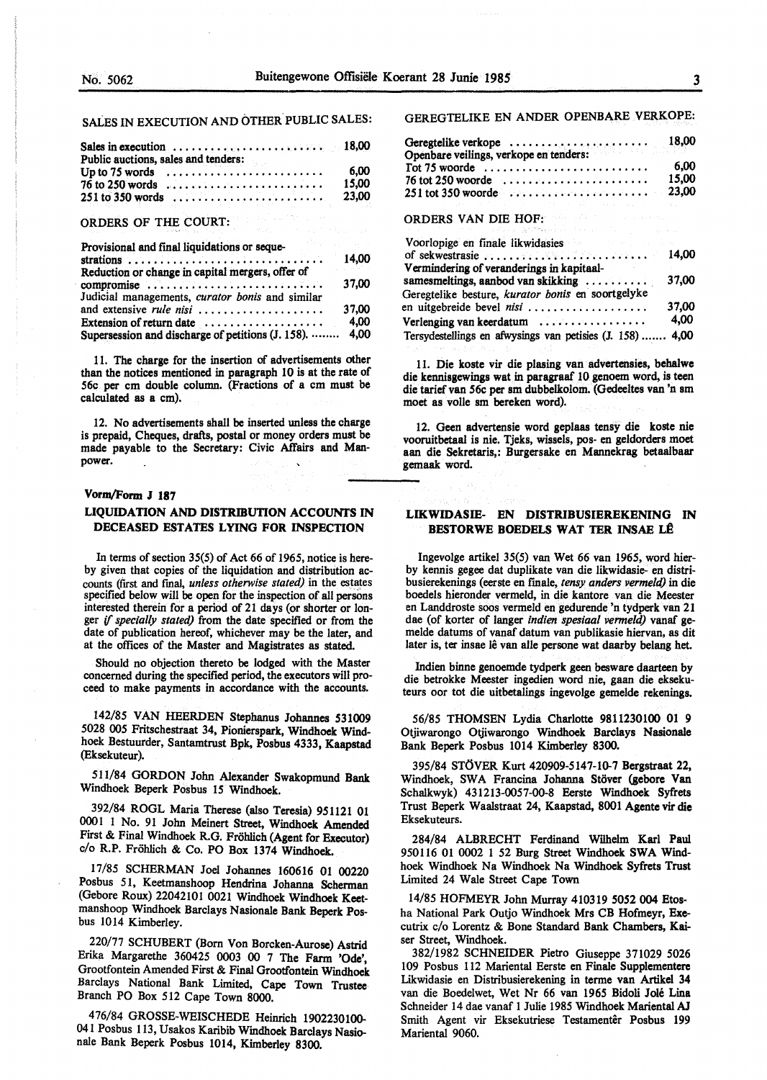## SALES IN EXECUTION AND OTHER PUBLIC SALES:

| Sales in execution $\ldots \ldots \ldots \ldots \ldots \ldots \ldots \ldots$ 18,00<br>Public auctions, sales and tenders: |  |  |  |  |  |               |
|---------------------------------------------------------------------------------------------------------------------------|--|--|--|--|--|---------------|
| Up to $75$ words<br>$76$ to 250 words                                                                                     |  |  |  |  |  | 6.00<br>15.00 |
|                                                                                                                           |  |  |  |  |  | 23.00         |

# ORDERS OF THE COURT:

| Provisional and final liquidations or seque-                  | 14,00 |
|---------------------------------------------------------------|-------|
| Reduction or change in capital mergers, offer of              |       |
| compromise<br>Judicial managements, curator bonis and similar | 37.00 |
| and extensive rule nisi                                       | 37,00 |
| Extension of return date $\ldots$                             | 4,00  |
| Supersession and discharge of petitions (J. 158).  4,00       |       |

11. The charge for the insertion of advertisements other than the notices mentioned in paragraph 10 is at the rate of 56c per cm double column. (Fractions of a cm must be calculated as a cm).

12. No advertisements shall be inserted unless the charge is prepaid, Cheques, drafts, postal or money orders must be made payable to the Secretary: Civic Affairs and Manpower.

#### Vorm/Form **J** 187

## **LIQUIDATION AND DISTRIBUTION ACCOUNfS IN DECEASED ESTATES LYING FOR INSPECTION**

In terms of section 35(5) of Act 66 of 1965, notice is hereby given that copies of the liquidation and distribution accounts (first and fmal, *unless otherwise stated)* in the estates specified below will be open for the inspection of all persons interested therein for a period of 21 days (or shorter or longer if *specially stated)* from the date specified or from the date of publication hereof, whichever may be the later, and at the offices of the Master and Magistrates as stated

Should no objection thereto be lodged with the Master concerned during the specified period, the executors will proceed to make payments in accordance with the accounts.

142/85 VAN HEERDEN Stephanus Johannes 531009 5028 005 Fritschestraat 34, Pionierspark, **Windhoek Wind**hoek Bestuurder, Santamtrust Bpk, Posbus 4333, **Kaapstad**  (Eksekuteur).

511/84 GORDON John Alexander Swakopmund Bank Windhoek Beperk Posbus 15 Wmdhoek.

392/84 ROGL Maria Therese (also Teresia) 951121 01 0001 I No. 91 John Meinert Street, Windhoek Amended First & Final Windhoek R.G. Frohlich (Agent for Executor) c/o R.P. Frohlich & Co. PO Box 1374 Windhoek.

17/85 SCHERMAN Joel Johannes 160616 01 00220 Posbus 51, Keetmanshoop Hendrina Johanna Scherman (Gebore Roux) 22042101 0021 Windhoek Windhoek Keetmanshoop Windhoek Barclays Nasionale Bank Beperk Posbus 1014 Kimberley.

220/77 SCHUBERT (Born Von Borcken-Aurose) Astrid Erika Margarethe 360425 0003 00 7 The Farm **'Ode',**  Grootfontein Amended First & Final Grootfontein **Windhoek**  Barclays National Bank Limited, Cape Town Trustee Branch PO Box 512 Cape Town 8000.

476/84 GROSSE-WEISCHEDE Heinrich 1902230100- 041 Posbus 113, Usakos Karibib Windhoek Barclays Nasionale Bank Beperk Posbus 1014, Kimberley 8300.

## GEREGTELIKE EN ANDER OPENBARE VERKOPE:

| Geregtelike verkope<br>Openbare veilings, verkope en tenders: |       |
|---------------------------------------------------------------|-------|
|                                                               |       |
|                                                               | 6.00  |
|                                                               | 15.00 |
|                                                               |       |
| しんしょう しょうしん しゅうしょう しゅうしょう おおし しゅうしょう しゅうしょう しゅうしゅ             |       |

# ORDERS VAN DIE HOF:

| Voorlopige en finale likwidasies                                  |       |
|-------------------------------------------------------------------|-------|
| of sekwestrasie $\ldots \ldots \ldots \ldots \ldots \ldots$ 14,00 |       |
| Vermindering of veranderings in kapitaal-                         |       |
| samesmeltings, aanbod van skikking                                | 37,00 |
| Geregtelike besture, kurator bonis en soortgelyke                 |       |
| en uitgebreide bevel nisi                                         | 37,00 |
| Verlenging van keerdatum                                          | 4.00  |
| Tersydestellings en afwysings van petisies (J. 158)  4,00         |       |

11. Die koste vir die plasing van advertensies, **behalwe**  die kennisgewings wat in paragraaf 10 genoem word, is teen **die tariefvan 56c per sm** dubbelkolom. **(Gedeeltes van** 'n sm moet **as voile** sm **bereken word).** 

12. Geen **advertensie** word **geplaas tensy die koste nie**  vooruitbetaal **is nie.** Tjeks, **wissels, pos-** en **geldorders** moet **aan die Sekretaris,: Burgersake** en **Mannekrag betaalbaar**  gemaak word.

#### **LIKWIDASIB- EN DISTRIBUSIEREKENING IN BESTORWE BOEDELS WAT TER INSAE LÊ**

lngevolge artikel 35(5) van Wet 66 van 1965, word bierby kennis gegee dat duplikate van die likwidasie- en distribusierekenings (eerste en f'male, *tensy anders venneld)* in die boedels hieronder vermeld, in die kantore van die Meester en Landdroste soos vermeld en gedurende 'n tydperk van 21 dae (of korter of !anger *indien spesiaal vermeld)* vanaf gemelde datums of vanaf datum van publikasie hiervan, as dit later is, ter insae lê van alle persone wat daarby belang het.

lndien binne genoemde tydperk geen besware daarteen by die betrokke Meester ingedien word nie, gaan die eksekuteurs oor tot die uitbetalings ingevolge gemelde rekenings.

56/85 THOMSEN Lydia Charlotte 9811230100 01 9 Otjiwarongo Otjiwarongo Wmdhoek Barclays Nasionale Bank Beperk Posbus 1014 Kimberley 8300.

395/84 STOVER Kurt 420909-5147-10-7 Bergstraat 22, Windhoek, SWA Francina Johanna Stöver (gebore Van Schalkwyk) 431213-0057-00-8 Eerste Wmdhoek Syfrets Trust Beperk Waalstraat 24, Kaapstad, 8001 Agente vir die Eksekuteurs.

284/84 ALBRECHT Ferdinand Wilhelm Karl Paul 950116 01 0002 I 52 Burg Street Windhoek SWA Windhoek Windhoek Na Windhoek Na Windhoek Syfrets Trust Limited 24 Wale Street Cape Town

14/85 HOFMEYR John Murray 410319 5052 004 Etosha National Park Outjo Windhoek Mrs CB Hofmeyr, Executrix c/o Lorentz & Bone Standard Bank Chambers, Kaiser Street, Windhoek.

382/1982 SCHNEIDER Pietro Giuseppe 371029 5026 109 Posbus 112 Mariental Eerste en Finale Supplementere Likwidasie en Distribusierekening in terme van Artikel 34 van die Boedelwet, Wet Nr 66 van 1965 Bidoli Joie Lina Schneider 14 dae vanaf 1 Julie 1985 Wmdhoek Mariental AJ Smith Agent vir Eksekutriese Testamentêr Posbus 199 Mariental 9060.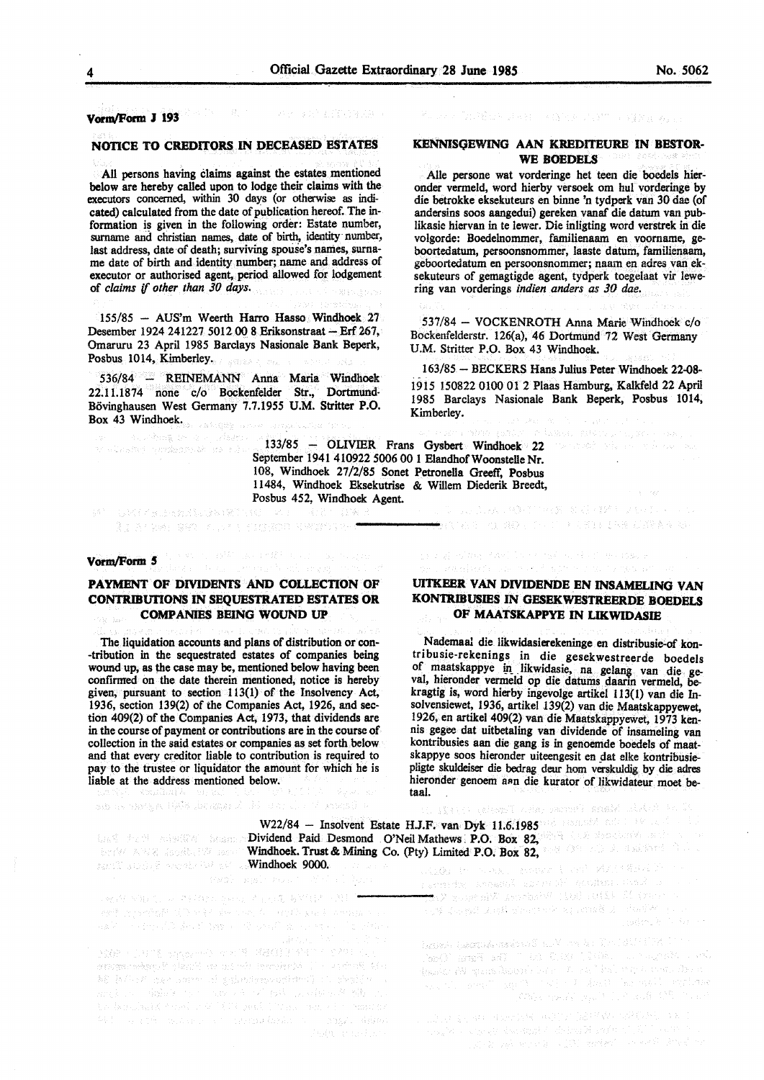#### **VomvForm J 193**

#### **NOTICE TO CREDITORS IN DECEASED ESTATES**

All persons having claims against the estates mentioned below are hereby called upon to lodge their claims with the executors concerned, within 30 days (or otherwise as indicated) calculated from the date of publication hereof. The information is given in the following order: Estate number, surname and christian names, date of birth, identity number, last address, date of death; surviving spouse's names, surname date of birth and identity number; name and address of executor or authorised agent, period allowed for lodgement of *claims if other than 30 days.* 

155/85 - AUS'm Weerth Harro Hasso Windhoek 27 Desember 1924 241227 5012 00 8 Eriksonstraat - Erf 267, Omaruru 23 April 1985 Barclays Nasionale Bank Beperk, Posbus 1014, Kimberley.

536/84 - REINEMANN Anna Maria Windhoek 22.11.1874 none c/o Bockenfelder Str., Dortmund-Bovinghausen West Germany 7.7.1955 U.M. Stritter **P.O.**  Box 43 Windhoek.  $\mathcal{R}^{(k)} \times \mathcal{L}^{(k)}_{\mathcal{G}} \otimes \mathcal{L}^{(k)}_{\mathcal{G}} \times \mathcal{L}^{(k)}_{\mathcal{G}} \times \mathcal{L}^{(k)}_{\mathcal{G}}$ 

133/85 - OLIVIER Frans Gysbert Windhoek 22 September 1941 410922 5006 00 1 Elandhof Woonstelle Nr. 108, Windhoek 27/2/85 Sonet Petronella Greeff, Posbus 11484, Windhoek Eksekutrise & Willem Diederik Breedt, Posbus 452, Windhoek Agent. 最近には、他国内の名前におけばないように いっし

SI SAN

Table to prize

SW UPPTRIALSMENT .<br>Ali ar kwa sen wuya a sidawa senyaye t

or alsame ordenoide no rico

#### Vorm/Form 5

## PAYMENT OF DIVIDENTS AND COLLECTION OF **CONTRJBurIONS** IN **SEQUESTRATED ESTATES OR COMPANIES BEING WOUND UP**

The liquidation accounts and plans of distribution or con--tribution in the sequestrated estates of companies being wound up, as the case may be, mentioned below having been confirmed on the date therein mentioned, notice is hereby given, pursuant to section 113(1) of the Insolvency Act, 1936, section 139(2) of the Companies Act, 1926, and section 409(2) of the Companies Act, 1973, that dividends are in the course of payment or contributions are in the course of collection in the said estates or companies as set forth below and that every creditor liable to contribution is required to pay to the trustee or liquidator the amount for which he is liable at the address mentioned below.

can as executed at the summary adapt a great model

Windhoek 9000.<br>Windhoek 9000.

tivi – draška A – ve ta

PROP SALO, A PHANCY HOUR LOAN WALL SAL " and conduit the sample and sales and an

.<br>196 ja (1996) ose voorte val gepaalsemprositeit () : 1 staats (v. 1 s ang in the sale of the second state of the same of the in-Williams the province of contracting the contract dilute Konzert Co. P. Book of Albert A. C. P. M. P. P. M. March 2011

#### **KENNISQEWING AAN KREDITEURE IN BESTOR-WE BOEDELS**

Alie persone wat vorderinge het teen die boedels hieronder venneld, word hierby versoek om hul vorderinge by die betrokke eksekuteurs en binne 'n tydperk van 30 dae (of andersins soos aangedui) gereken vanaf die datum van publikasie hiervan in te lewer. Die inligting word verstrek in die volgorde: Boedelnommer, familienaam en voorname, geboortedatum, persoonsnommer, Iaaste datum, familienaam, geboortedatum en persoonsnommer; naam en adres van eksekuteurs of gemagtigde agent, tydperk toegelaat vir lewering van vorderings *indien anders as JO dae.* 

537/84 - VOCKENROTH Anna Marie Windhoek c/o Bockenfelderstr. 126{a), 46 Dortmund 72 West Germany U.M. Stritter P.O. Box 43 Windhoek.

163/85 - BECKERS Hans Julius Peter Windhoek 22-08- 1915 150822 0100 01 2 Plaas Hamburg, Kalkfeld 22 April 1985 Barclays Nasionale Bank Beperk, Posbus 1014, Kimberley.

## **UITKEER VAN DIVIDENDE EN INSAMELINO VAN KONTRJBUSIES** IN **OESEKWESTREERDE BOEDELS OF MAATSKAPPYE** IN **LIKWIDASIE**

● まいれる しんしまゆう アープン・カス ぎょく ちき むぶをあるしい

Nademaal die likwidasierekeninge en distribusie-of kontribusie-rekenings in die gesekwestreerde boedels of maatskappye in likwidasie, na gelang van die geval, hieronder vermeld op die datums daarin vermeld, bekragtig is, word hierby ingevolge artikel 113(1) van die Insolvensiewet, 1936, artikel 139(2) van die Maatskappyewet, ! 926, en artikel 409(2) van die Maatskappyewet, 1973 kennis gegee dat uitbetaling van dividende of insameling van kontribusies aan die gang is in genoemde boedels of maatskappye soos hieronder uiteengesit en dat elke kontribusiepligte skuldeiser die bedrag deur horn verskuldig by die aclres hieronder genoem aan die kurator of likwidateur moet betaal.  $\sim$ 

od Solombu Mana Userse nden Terestap 1514X1

W22/84 - Insolvent Estate H.J.F. van Dyk 11.6.1985 de manufacture and LES FRINCES SERVICES Dividend Paid Desmond O'Neil Mathews. P.O. Box 82, 2008 CONSTRACT STATES Windhoek. Trust& Mining Co. (Pty) Limited P.O. Box 82, and Company of the Collection of the Collection of the Collection of the Collection of the Collection of the Collection of the Collection of the Collection of the Coll

a consider analogy if consider language and con- $\sim$  very if  $\sim$  100 (eq. ) whereas Whenes  $\sqrt{d\tau}$ n en 1979 til 1986 og større og større og større og større og større og større og større og større og større o<br>En 1987 en styrrederer

hose persecutival all rate point in  $\mathbb{C}^+$ dengen Ga diense geboud poesi (geleg gebouden inder gebou<br>1986), wang 1943 (g. 1971-1976), Joseph III is entidengel (g. 197 an tanah menjadi kecamatan di Serikat Propinsi Jawa Bandaran Serikat Propinsi Jawa Bandaran Serikat Propinsi J<br>Pengantan Serikat Propinsi Jawa Bandaran Serikat Propinsi Jawa Bandaran Serikat Propinsi Jawa Bandaran Serikat .<br>1982: Tarihi ay isa na 1980

 $\label{eq:R1} \begin{split} \mathbb{E}[\mathcal{N}_{\mathcal{A}}] & \geq \mathbb{E}[\mathcal{N}_{\mathcal{A}}] \mathbb{E}[\mathcal{N}_{\mathcal{A}}] \mathbb{E}[\mathcal{N}_{\mathcal{A}}] \mathbb{E}[\mathcal{N}_{\mathcal{A}}] \mathbb{E}[\mathcal{N}_{\mathcal{A}}] \mathbb{E}[\mathcal{N}_{\mathcal{A}}] \mathbb{E}[\mathcal{N}_{\mathcal{A}}] \mathbb{E}[\mathcal{N}_{\mathcal{A}}] \mathbb{E}[\mathcal{N}_{\mathcal{A}}] \mathbb{E}[\mathcal{N}_{\$ a a de la componentación de la componentación.<br>A la componentación de la componentación de la componentación de la componentación de la componentación de la standard (1991)<br>Standard Monte (1991), exploration (1996), detector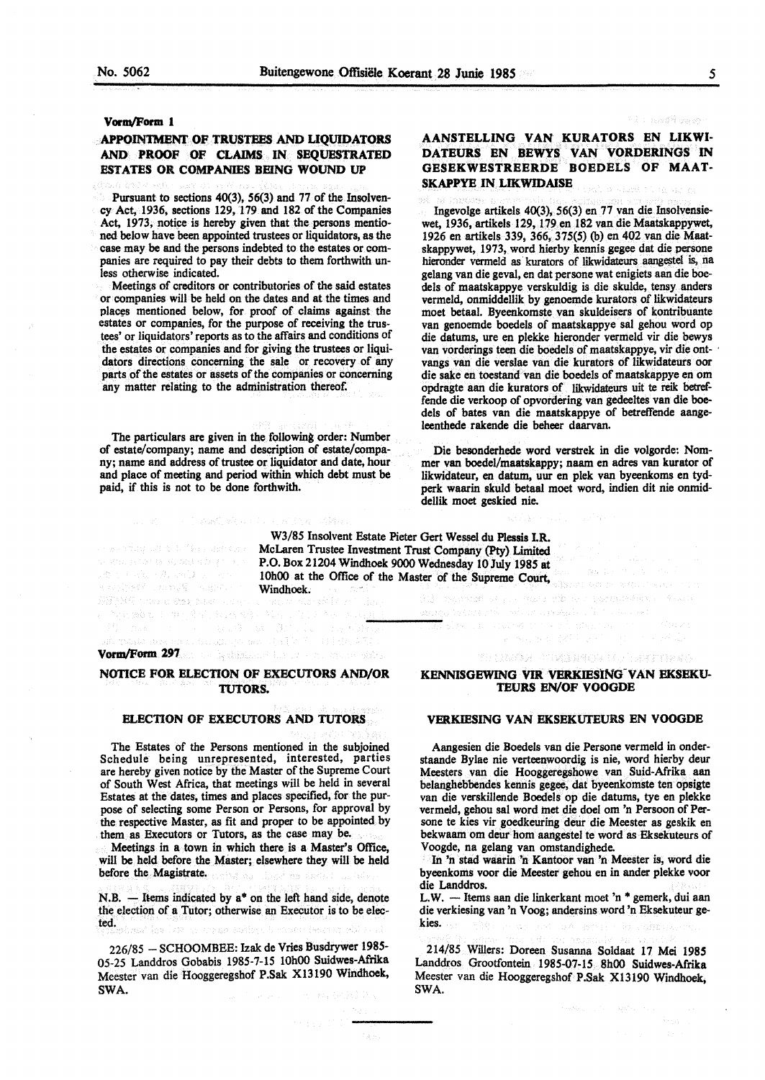#### **Vom,/Form 1**

## **APPOINTMENT OF TRUSTEES AND LIQUIDATORS AND PROOF OF CLAIMS IN SEQUESTRATED ESTATES OR COMPANIES BEING WOUND UP**

Pursuant to sections 40(3), 56(3) and 77 of the Insolvency Act, 1936, sections 129, 179 and 182 of the Companies Act, 1973, notice is hereby given that the persons mentioned below have been appointed trustees or liquidators, as the case may be and the persons indebted to the estates or companies are required to pay their debts to them forthwith unless otherwise indicated.

Meetings of creditors or contributories of the said estates or companies will be held on the dates and at the times and places mentioned below, for proof of claims against the estates or companies, for the purpose of receiving the trustees' or liquidators' reports as to the affairs and conditions of the estates or companies and for giving the trustees or liquidators directions concerning the sale or recovery of any parts of the estates or assets of the companies or concerning any matter relating to the administration thereof.

The particulars are given in the following order: Number of estate/company; name and description of estate/company; name and address of trustee or liquidator and date, hour and place of meeting and period within which debt must be paid, if this is not to be done forthwith.

an a bheas an baile an  $\label{eq:1} \partial \Sigma_{\alpha} \gamma_{\alpha} + \gamma \partial \omega_{\alpha} + \partial \omega_{\alpha} \partial \omega_{\alpha} \Sigma_{\alpha} \gamma_{\alpha} + \partial \gamma \gamma_{\alpha}$ english chandi sugar s

BSBMS today and are advertised

#### t List nord Roman

## **AANSTBLLING VAN KURATORS EN LIKWI-DATBURS EN BBWYS VAN VORDBRINGS** IN GESEKWESTREERDE BOEDELS OF MAAT-**SKAPPYE IN LIKWIDAISE**

Ingevolge artikels 40(3), 56(3) en 77 van die Insolvensiewet, 1936, artikels 129, 179 en 182 van die Maatskappywet, 1926 en artikels 339, 366, 375(5) (b) en 402 van die Maatskappywet, 1973, word hierby kennis **gegee** dat die persone hieronder vermeld as kurators of likwidateurs aangestel is, na gelang van die geval, en dat persone wat enigiets aan die boedels of maatskappye verskuldig is die skulde, tensy anders vermeld, onmiddellik by genoemde kurators of likwidateurs moet betaal. Byeenkomste van skuldeisers of kontribuante van genoemde boedels of maatskappye sal gehou word op die datums, ure en plekke hieronder vermeld vir die bewys van vorderings teen die boedels of maatskappye, vir die ontvangs van die verslae van die kurators of likwidateurs oor die sake en toestand van die boedels of maatskappye en om opdragte aan die kurators of likwidateurs uit te reik betreffende die verkoop of opvordering van gedeeltes van die boedels of bates van die maatskappye of betreffende aangeleenthede rakende die beheer daarvan.

Die besonderhede word verstrek in die volgorde: Nommer van boedel/maatskappy; naam en adres van kurator of likwidateur, en datum, uur en plek van byeenkoms en tydperk waarin skuld betaal moet word, indien dit nie onmiddellik moet geskied nie.

W3/85 Insolvent Estate Pieter Gert Wessel du Plessis LR. McLaren Trustee Investment Trust Company (Pty) Limited P.O. Box 21204 Windhoek 9000 Wednesday 10 July 1985 at 10h00 at the Office of the Master of the Supreme Court, Windhoek. 

# **Vorm/Form 297**

## **NOTICE FOR ELECTION OF EXECUTORS AND/OR TUTORS.**

#### **ELECTION OF EXECUTORS AND TUTORS**

The Estates of the Persons mentioned in the subjoined Schedule being unrepresented, interested, parties are hereby given notice by the Master of the Supreme Court of South West Africa, that meetings will be held in several Estates at the dates, times and places specified, for the purpose of selecting some Person or Persons, for approval by the respective Master, as fit and proper to be appointed by them as Executors or Tutors, as the case may be.

Meetings in a town in which there is a Master's Office, will be held before the Master; elsewhere they will be held before the Magistrate.

N.B.  $-$  Items indicated by  $a^*$  on the left hand side, denote the election of a Tutor; otherwise an Executor is to be elected.

226/85 - SCHOOMBEE: Izak de Vries Busdrywer 1985- 05-25 Landdros Gobabis 1985-7-15 10h00 Suidwes-Afrika Meester van die Hooggeregshof P.Sak X13190 Windhoek, SWA.

## **KENNISGEWING VIR VERKIESING VAN EKSEKU-TEURS EN/OF VOOGDE**

THE NAME OF DESCRIPTIONS OF A PERSON OF

#### **VERKIESING VAN EKSEKUTEURS EN VOOGDE**

Aangesien die Boedels van die Persone vermeld in onderstaande Bylae nie verteenwoordig is nie, word hierby deur Meesters van die Hooggeregshowe van Suid-Afrika aan belanghebbendes kennis gegee, dat byeenkomste ten opsigte van die verskillende Boedels op die datums, tye en plekke vermeld, gehou sat word met die doel om 'n Persoon of Persone te kies vir goedkeuring deur die Meester as geskik en bekwaam om deur horn aangestel te word as Eksekuteurs of Voogde, na gelang van omstandighede.

In 'n stad waarin 'n Kantoor van 'n Meester is, word die byeenkoms voor die Meester gehou en in ander plekke voor die Landdros.

L.W. - Items aan die linkerkant moet 'n \* gemerk, dui aan die verkiesing van 'n Voog; andersins word 'n Eksekuteur gekies. .<br>1940 - Grand Constantino de Sternoom

214/85 Willers: Doreen Susanna Soldaat 17 Mei 1985 Landdros Grootfontein 1985-07-15 8h00 Suidwes-Afrika Meester van die Hooggeregshof P.Sak Xl3190 Windhoek, SWA.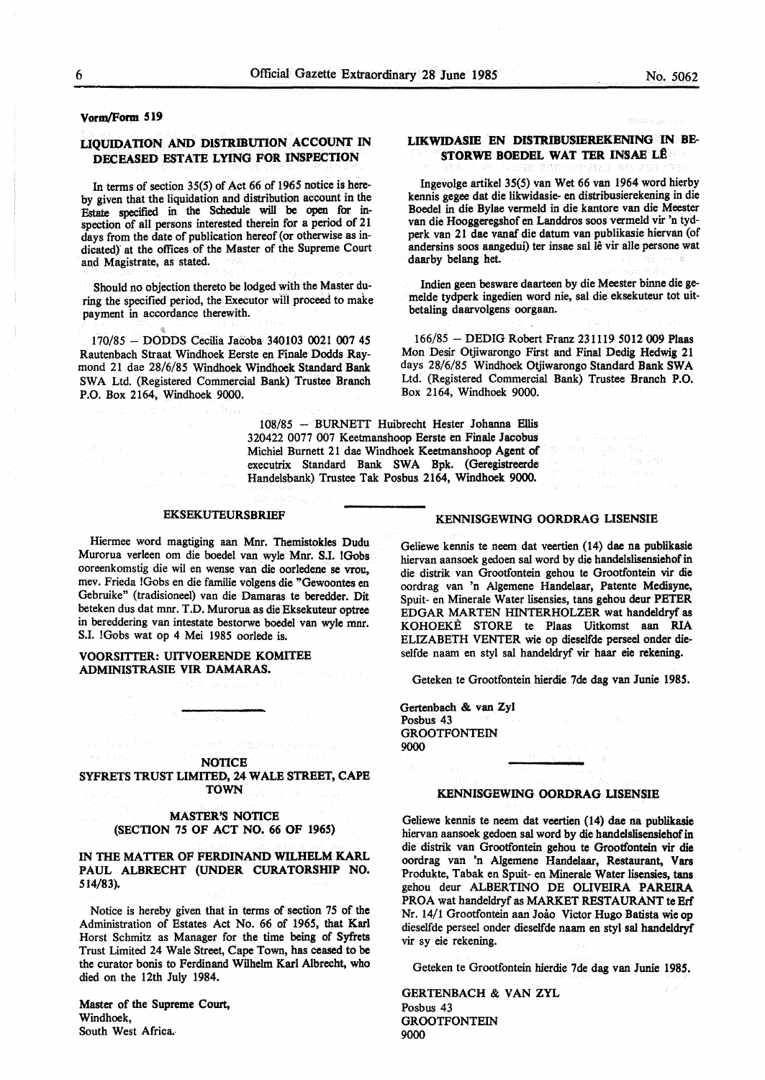#### **Vorm/Form 519**

## **LIQUIDATION AND DISTRIBUTION ACCOUNT** IN **DECEASED ESTATE LYING FOR INSPECTION**

In terms of section 35(5) of Act 66 of 1965 notice is hereby given that the liquidation and distribution account in the Estate specified in the Schedule will be open for inspection of all persons interested therein for a period of 21 days from the date of publication hereof (or otherwise as indicated) at the offices of the Master of the Supreme Court and Magistrate, as stated.

Should no objection thereto be lodged with the Master during the specified period, the Executor will proceed to make payment in accordance therewith.

170/85 - DODDS Cecilia Jacoba 340103 0021 007 45 Rautenbach Straat Windhoek Eerste en Finale Dodds Raymond 21 dae 28/6/85 Windhoek Windhoek Standard Bank SWA Ltd. (Registered Commercial Bank) Trustee Branch P.O. Box 2164, Windhoek 9000.

## **LIKWIDASIE EN DISTRIBUSIEREKENING** IN **BE-STORWE BOEDEL WAT TER INSAE LÊ**

lngevolge artikel 35(5) van Wet 66 van 1964 word hierby kennis **gegee** dat die likwidasie- en distribusierekening in die Boedel in die Bylae vermeld in die kantore van die Meester van die Hooggeregshof en Landdros soos vermeld vir 'n tydperk van 21 dae vanaf die datum van publikasie hiervan (of andersins soos aangedui) ter insae sal lê vir alle persone wat daarby belang het.

Indien geen besware daarteen by die Meester binne die gemelde tydperk ingedien word nie, sal die eksekuteur tot uitbetaling daarvolgens oorgaan.

166/85 - DEDIG Robert Franz 231119 5012 009 Plaas Mon Desir Otjiwarongo First and Final Dedig Hedwig 21 days 28/6/85 Windhoek Otjiwarongo Standard Bank SWA Ltd. (Registered Commercial Bank) Trustee Branch **P.O.**  Box 2164, Windhoek 9000.

108/85 - BURNETT Huibrecht Hester Johanna Ellis 320422 0077 007 Keetmanshoop Eerste en Finale Jacobus Michiel Burnett 21 dae Windhoek Keetmanshoop **Agent** of executrix Standard Bank SWA Bpk. (Geregistreerde Handelsbank) Trustee Tak Posbus 2164, Windhoek 9000.

#### **EKSEKUTEURSBRIEF**

Hiermee word magtiging aan Mnr. Themistokles Dudu Murorua verleen om die boedel van wyle Mnr. SJ. !Gobs ooreenkomstig die wil en wense van die oorledene se vrou, mev. Frieda !Gobs en die familie volgens die "Gewoontes en Gebruike" (tradisioneel) van die Damaras te beredder. Dit beteken dus dat mnr. T.D. Murorua as die Eksekuteur optree in bereddering van intestate bestorwe boedel van wyle mnr. S.I. !Gobs wat op 4 Mei 1985 oorlede is.

## **VOORSITTER: UITVOERENDE KOMITEE ADMINISTRASIE VIR DAMARAS.**

**NOTICE** SYFRETS TRUST LIMITED, 24 WALE STREET, CAPE TOWN

### MASTER'S NOTICE (SECTION 75 OF ACT NO. 66 OF 1965)

#### IN THE MATTER OF FERDINAND WILHELM KARL PAUL ALBRECHT (UNDER **CURATORSHIP NO.**  514/83).

Notice is hereby given that in terms of section 75 of the Administration of Estates Act No. 66 of 1965, that Karl Horst Schmitz as Manager for the time being of Syfrets Trust Limited 24 Wale Street, Cape Town, has ceased to be the curator bonis to Ferdinand Wilhelm Karl Albrecht, who died on the 12th July 1984.

Master of the Supreme Court, Windhoek, South West Africa.

### **KENNISGEWING OORDRAG LISENSIE**

Geliewe kennis te neem dat veertien (14) dae na publikasie hiervan aansoek gedoen sat word by die handelslisensiehof in die distrik van Grootfontein gehou te Grootfontein vir die oordrag van 'n Algemene Handelaar, Patente Medisyne, Spuit- en Minerale Water lisensies, tans gehou deur PETER EDGAR MARTEN HINTERHOLZER wat handeldryf as KOHOEKE STORE te Plaas Uitkomst aan RIA ELIZABETH VENTER wie op dieselfde perseel onder dieselfde naam en styl sal handeldryf vir haar eie rekening.

Geteken te Grootfontein hierdie 7de dag van Junie 1985.

Gertenbach & van Zyl Posbus 43 **GROOTFONTEIN** 9000

## **KENNISGEWING OORDRAG USENSIE**

Geliewe kennis te neem dat veertien (14) dae na publikasie hiervan aansoek gedoen sal word by die handelslisensiehof in die distrik van Grootfontein gehou te Grootfontein vir die oordrag van 'n Algemene Handelaar, Restaurant, Vars Produkte, Tabak en Spuit- en Minerale Water lisensies, tans gehou deur ALBERTINO DE OLIVEIRA PAREIRA PROA wat handeldryf as MARKET RESTAURANT te Erf Nr. 14/1 Grootfontein aan Joao Victor Hugo Batista wie op dieselfde perseel onder dieselfde naam en styl sal handeldryf vir sy eie rekening.

Geteken te Grootfontein hierdie 7de dag van Junie **198S.** 

**GERTENBACH & VAN ZYL** Posbus 43 **GROOTFONTEIN** 9000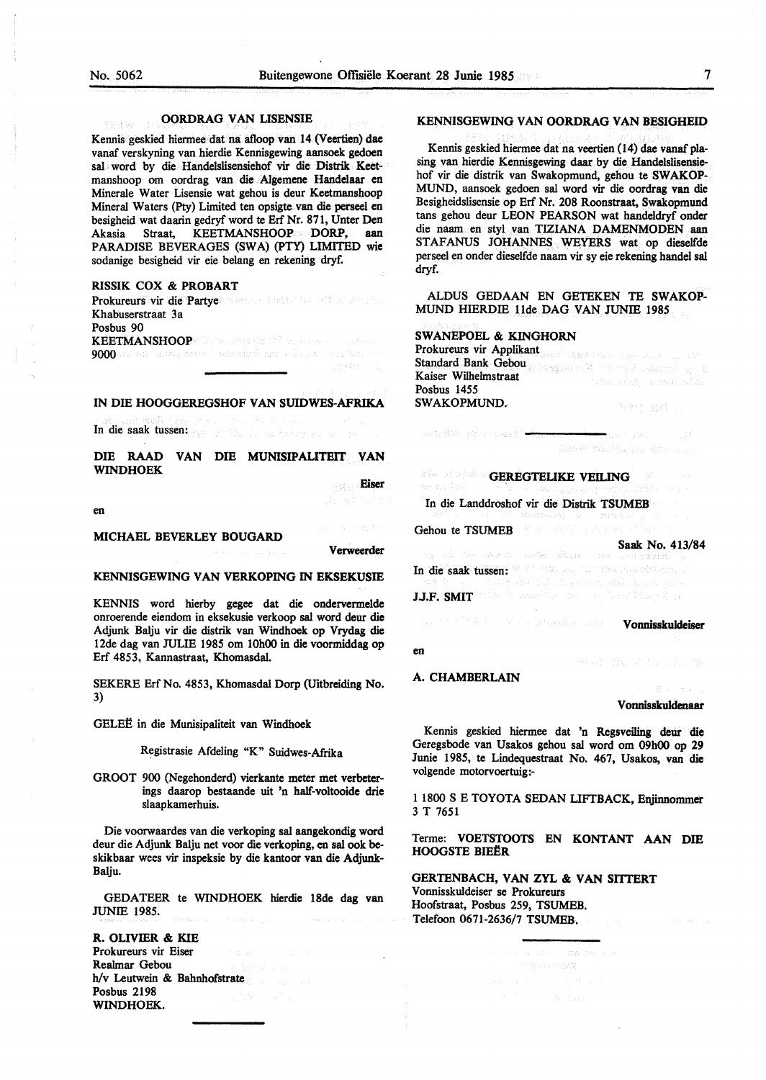malla typ

#### **OORDRAG VAN LISENSIE**

Kennis geskied hiermee dat na afloop van 14 (Veertien) dae vanaf verskyning van hierdie Kennisgewing aansoek gedoen sal word by die Handelslisensiehof vir die Distrik Keetmanshoop om oordrag van die Algemene Handelaar en Minerale Water Lisensie wat gehou is deur Keetmanshoop Mineral Waters (Pty) Limited ten opsigte van die perseel en besigheid wat daarin gedryf word te Erf Nr. 871, Unter Den Akasia Straat, KEETMANSHOOP **DORP, aan**  PARADISE BEVERAGES **(SWA)** (PTY) LIMITED wie sodanige besigheid vir eie belang en rekening dryf.

#### **RlSSIK COX** & **PROBART**

Prokureurs vir die Partye voor de bestelden wat de staat Khabuserstraat 3a Posbus 90 **KEETMANSHOOP**  9000 we no cannon energy when the first manuscript of

#### **IN DIE HOOGGEREGSHOF VAN SUIDWES-AFRIKA**

In die saak tussen: 1998 von die saak tussen: 1998 von die saak tussen: 1998 von die saak von die staat van die

DIE RAAD VAN DIE MUNISIPALITEIT VAN WINDHOEK

Eiser

en

#### MICHAEL BEVERLEY BOUGARD

**Verweerder** 

#### **KENNISGEWING VAN VERKOPING** IN **EKSEKUSIE**

KENNIS word hierby gegee dat die ondervermelde onroerende eiendom in eksekusie verkoop sal word deur die Adjunk Balju vir die distrik van Windhoek op Vrydag die l 2de dag van JULIE 1985 om 10h00 in die voormiddag op Erf 4853, Kannastraat, Khomasdal.

SEKERE Erf No. 4853, Khomasdal Dorp (Uitbreiding No. 3)

GELEË in die Munisipaliteit van Windhoek

Registrasie Afdeling "K" Suidwes-Afrika

GROOT 900 (Negehonderd) vierkante meter met verbeterings daarop bestaande uit 'n half-voltooide drie slaapkamerhuis.

Die voorwaardes van die verkoping sal aangekondig word deur die Adjunk Balju net voor die verkoping, en sal ook beskikbaar wees vir inspeksie by die kantoor van die Adjunk-Balju.

GEDATEER te WINDHOEK hierdie 18de dag van JUNIE 1985.

**R. OLIVIER** & **KIE**  Prokureurs vir Eiser Realmar Gebou h/v Leutwein & Bahnhofstrate Posbus 2198 WINDHOEK.

#### **KENNISGEWING VAN OORDRAG VAN BESIGHEID**

Kennis geskied hiermee dat na veertien (14) dae vanaf plasing van hierdie Kennisgewing daar by die Handelslisensiehof vir die distrik van Swakopmund, gehou te **SW AKOP-**MUND, aansoek gedoen sal word vir die oordrag van die Besigheidslisensie op Erf Nr. 208 Roonstraat, Swakopmund tans gehou deur LEON PEARSON wat handeldryf onder die naam en styl van TIZIANA DAMENMODEN aan STAFANUS JOHANNES WEYERS wat op dieselfde perseel en onder dieselfde naam vir sy eie rekening handel sal dryf.

ALDUS GEDAAN EN GETEKEN TE **SWAKOP-**MUND HIERDIE 11de DAG VAN JUNIE 1985

#### SWANEPOEL & KINGHORN

| Prokureurs vir Applikant and the Action of the Contract of the Second                                                                                                                                                         |                                                                                                                                                                                                                                |
|-------------------------------------------------------------------------------------------------------------------------------------------------------------------------------------------------------------------------------|--------------------------------------------------------------------------------------------------------------------------------------------------------------------------------------------------------------------------------|
| Standard Bank Gebou and the second second service of the second service of the service of the service of the service of the service of the service of the service of the service of the service of the service of the service |                                                                                                                                                                                                                                |
| Kaiser Wilhelmstraat                                                                                                                                                                                                          | of the control of the second control of the control of the control of the control of the control of the control of the control of the control of the control of the control of the control of the control of the control of th |
| Posbus 1455                                                                                                                                                                                                                   |                                                                                                                                                                                                                                |
| <b>SWAKOPMUND.</b>                                                                                                                                                                                                            | 计二进制 医舌下的 医手套子                                                                                                                                                                                                                 |

waterful consumer?

**GEREGTELIKE VEILING** 

In die Landdroshof vir die Distrik **TSUMEB** 

Gehou te TSUMEB

**Saak No. 413/84**  ale de solombi, andel dibuter incoile o dus á scé In die saak tussen: J.J.F. SMIT We're a based that the complete state of the von 1996 in der Statten der Statten von Berlingen versten der Vonnisskuldeiser

en

### A. CHAMBERLAIN

#### Vonnisskuldenaar

999年 政治大学大学

Kennis geskied hiennee dat 'n Regsveiling deur die Geregsbode van Usakos gehou sal word om 09h00 op 29 Junie 1985, te Lindequestraat No. 467, Usakos, van die volgende motorvoertuig:-

1 1800 S E TOYOTA SEDAN LIFTBACK, Eajinnommer 3 T 7651

Terme: VOETSTOOTS EN **KONTANT AAN** DIE HOOGSTE BIEËR

GERTENBACH, VAN ZYL & VAN SITTERT Vonnisskuldeiser se Prokureurs Hoofstraat, Posbus 259, TSUMEB. Telefoon 0671-2636/7 TSUMEB.